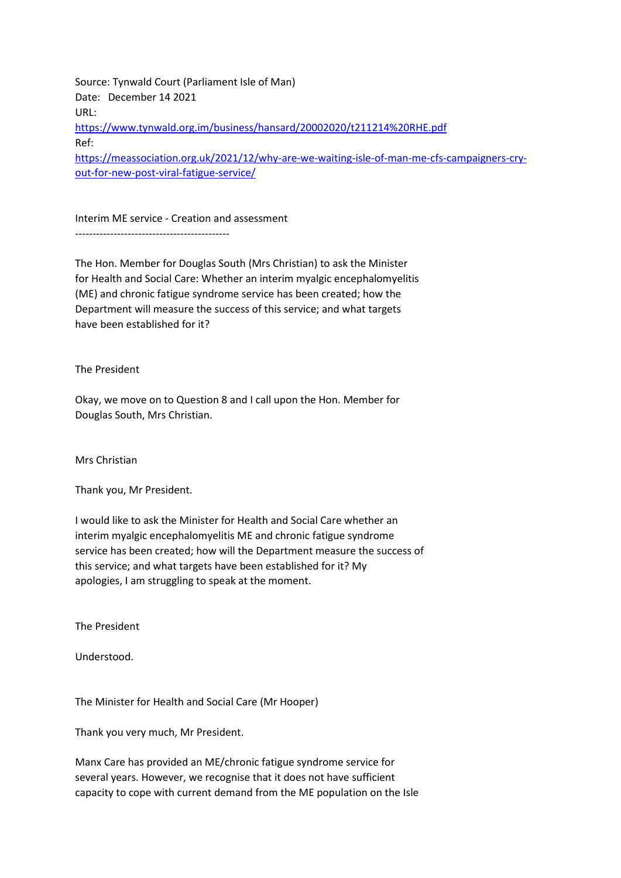Source: Tynwald Court (Parliament Isle of Man) Date: December 14 2021 URL: <https://www.tynwald.org.im/business/hansard/20002020/t211214%20RHE.pdf> Ref: [https://meassociation.org.uk/2021/12/why-are-we-waiting-isle-of-man-me-cfs-campaigners-cry](https://meassociation.org.uk/2021/12/why-are-we-waiting-isle-of-man-me-cfs-campaigners-cry-out-for-new-post-viral-fatigue-service/)[out-for-new-post-viral-fatigue-service/](https://meassociation.org.uk/2021/12/why-are-we-waiting-isle-of-man-me-cfs-campaigners-cry-out-for-new-post-viral-fatigue-service/)

Interim ME service - Creation and assessment --------------------------------------------

The Hon. Member for Douglas South (Mrs Christian) to ask the Minister for Health and Social Care: Whether an interim myalgic encephalomyelitis (ME) and chronic fatigue syndrome service has been created; how the Department will measure the success of this service; and what targets have been established for it?

The President

Okay, we move on to Question 8 and I call upon the Hon. Member for Douglas South, Mrs Christian.

Mrs Christian

Thank you, Mr President.

I would like to ask the Minister for Health and Social Care whether an interim myalgic encephalomyelitis ME and chronic fatigue syndrome service has been created; how will the Department measure the success of this service; and what targets have been established for it? My apologies, I am struggling to speak at the moment.

The President

Understood.

The Minister for Health and Social Care (Mr Hooper)

Thank you very much, Mr President.

Manx Care has provided an ME/chronic fatigue syndrome service for several years. However, we recognise that it does not have sufficient capacity to cope with current demand from the ME population on the Isle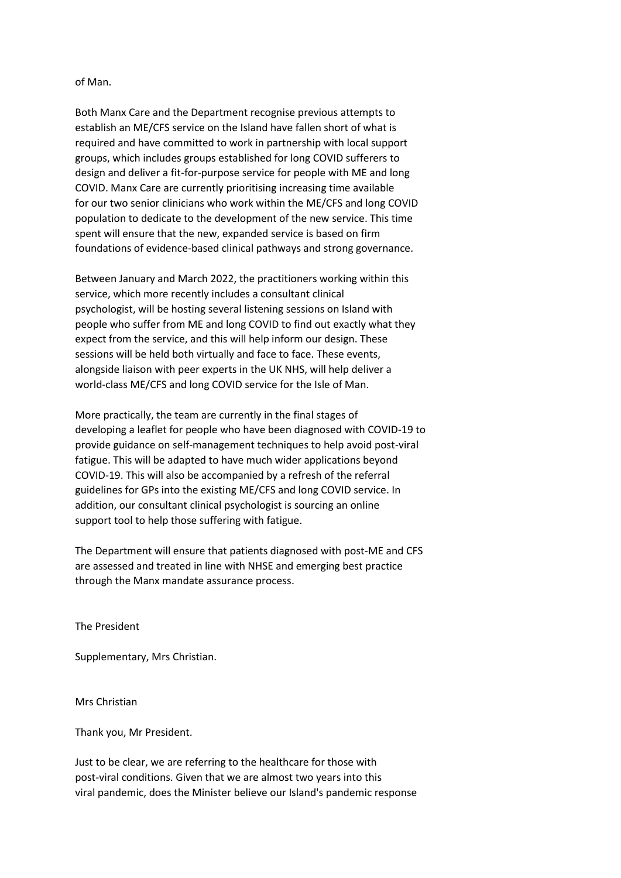of Man.

Both Manx Care and the Department recognise previous attempts to establish an ME/CFS service on the Island have fallen short of what is required and have committed to work in partnership with local support groups, which includes groups established for long COVID sufferers to design and deliver a fit-for-purpose service for people with ME and long COVID. Manx Care are currently prioritising increasing time available for our two senior clinicians who work within the ME/CFS and long COVID population to dedicate to the development of the new service. This time spent will ensure that the new, expanded service is based on firm foundations of evidence-based clinical pathways and strong governance.

Between January and March 2022, the practitioners working within this service, which more recently includes a consultant clinical psychologist, will be hosting several listening sessions on Island with people who suffer from ME and long COVID to find out exactly what they expect from the service, and this will help inform our design. These sessions will be held both virtually and face to face. These events, alongside liaison with peer experts in the UK NHS, will help deliver a world-class ME/CFS and long COVID service for the Isle of Man.

More practically, the team are currently in the final stages of developing a leaflet for people who have been diagnosed with COVID-19 to provide guidance on self-management techniques to help avoid post-viral fatigue. This will be adapted to have much wider applications beyond COVID-19. This will also be accompanied by a refresh of the referral guidelines for GPs into the existing ME/CFS and long COVID service. In addition, our consultant clinical psychologist is sourcing an online support tool to help those suffering with fatigue.

The Department will ensure that patients diagnosed with post-ME and CFS are assessed and treated in line with NHSE and emerging best practice through the Manx mandate assurance process.

The President

Supplementary, Mrs Christian.

Mrs Christian

Thank you, Mr President.

Just to be clear, we are referring to the healthcare for those with post-viral conditions. Given that we are almost two years into this viral pandemic, does the Minister believe our Island's pandemic response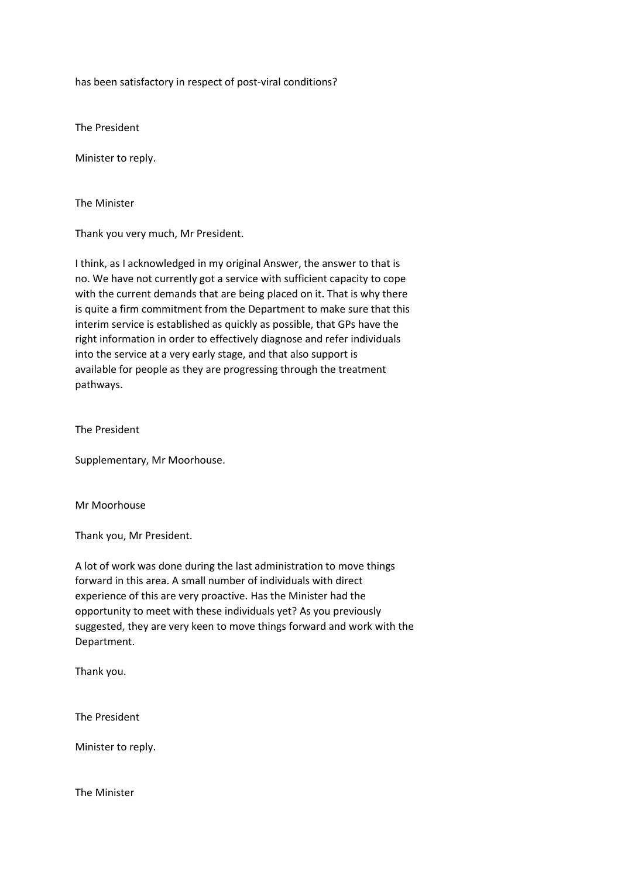has been satisfactory in respect of post-viral conditions?

The President

Minister to reply.

The Minister

Thank you very much, Mr President.

I think, as I acknowledged in my original Answer, the answer to that is no. We have not currently got a service with sufficient capacity to cope with the current demands that are being placed on it. That is why there is quite a firm commitment from the Department to make sure that this interim service is established as quickly as possible, that GPs have the right information in order to effectively diagnose and refer individuals into the service at a very early stage, and that also support is available for people as they are progressing through the treatment pathways.

The President

Supplementary, Mr Moorhouse.

Mr Moorhouse

Thank you, Mr President.

A lot of work was done during the last administration to move things forward in this area. A small number of individuals with direct experience of this are very proactive. Has the Minister had the opportunity to meet with these individuals yet? As you previously suggested, they are very keen to move things forward and work with the Department.

Thank you.

The President

Minister to reply.

The Minister